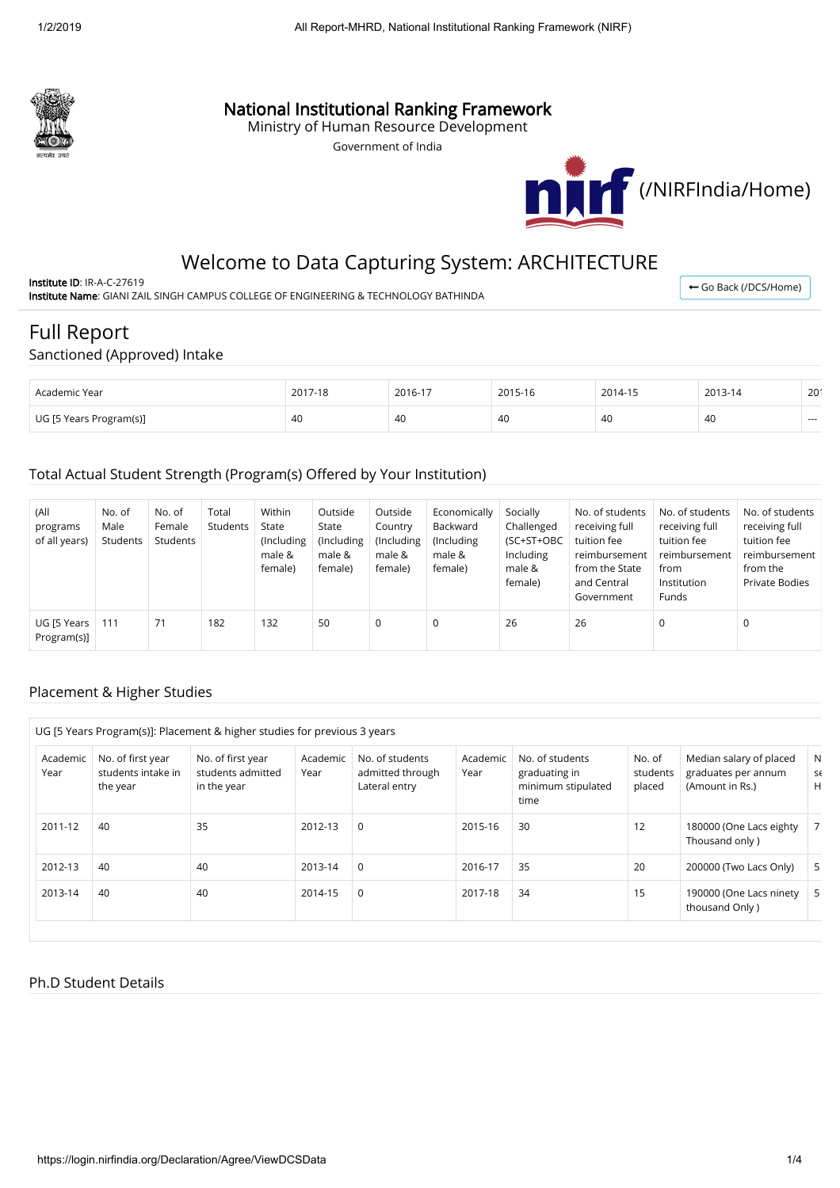

## National Institutional Ranking Framework

Ministry of Human Resource Development

Government of India



# Welcome to Data Capturing System: ARCHITECTURE

Institute ID: IR-A-C-27619 Institute Name: GIANI ZAIL SINGH CAMPUS COLLEGE OF ENGINEERING & TECHNOLOGY BATHINDA

← [Go Back \(/DCS/Home\)](https://login.nirfindia.org/DCS/Home)

# Full Report

### Sanctioned (Approved) Intake

| Academic Year           | 2017-18 | 2016-17 | 2015-16 | 2014-15 | 2013-14 | 20 <sup>′</sup> |
|-------------------------|---------|---------|---------|---------|---------|-----------------|
| UG [5 Years Program(s)] | 40      | 40      | 40      | 40      | -40     | $- - -$         |

### Total Actual Student Strength (Program(s) Offered by Your Institution)

| (All<br>programs<br>of all years) | No. of<br>Male<br>Students | No. of<br>Female<br>Students | Total<br>Students | Within<br>State<br>(Including<br>male &<br>female) | Outside<br>State<br>(Including<br>male &<br>female) | Outside<br>Country<br>(Including<br>male &<br>female) | Economically<br>Backward<br>(Including<br>male &<br>female) | Socially<br>Challenged<br>(SC+ST+OBC<br>Including<br>male &<br>female) | No. of students<br>receiving full<br>tuition fee<br>reimbursement<br>from the State<br>and Central<br>Government | No. of students<br>receiving full<br>tuition fee<br>reimbursement<br>from<br>Institution<br><b>Funds</b> | No. of students<br>receiving full<br>tuition fee<br>reimbursement<br>from the<br><b>Private Bodies</b> |
|-----------------------------------|----------------------------|------------------------------|-------------------|----------------------------------------------------|-----------------------------------------------------|-------------------------------------------------------|-------------------------------------------------------------|------------------------------------------------------------------------|------------------------------------------------------------------------------------------------------------------|----------------------------------------------------------------------------------------------------------|--------------------------------------------------------------------------------------------------------|
| UG [5 Years<br>Program(s)]        | 111                        | 71                           | 182               | 132                                                | 50                                                  | 0                                                     | 0                                                           | 26                                                                     | 26                                                                                                               | 0                                                                                                        | 0                                                                                                      |

### Placement & Higher Studies

|                  |                                                     | UG [5 Years Program(s)]: Placement & higher studies for previous 3 years |                  |                                                      |                  |                                                                |                              |                                                                   |              |
|------------------|-----------------------------------------------------|--------------------------------------------------------------------------|------------------|------------------------------------------------------|------------------|----------------------------------------------------------------|------------------------------|-------------------------------------------------------------------|--------------|
| Academic<br>Year | No. of first year<br>students intake in<br>the year | No. of first year<br>students admitted<br>in the year                    | Academic<br>Year | No. of students<br>admitted through<br>Lateral entry | Academic<br>Year | No. of students<br>graduating in<br>minimum stipulated<br>time | No. of<br>students<br>placed | Median salary of placed<br>graduates per annum<br>(Amount in Rs.) | N<br>S6<br>H |
| 2011-12          | 40                                                  | 35                                                                       | 2012-13          | $\Omega$                                             | 2015-16          | 30                                                             | 12                           | 180000 (One Lacs eighty<br>Thousand only)                         | 7            |
| 2012-13          | 40                                                  | 40                                                                       | 2013-14          | $\Omega$                                             | 2016-17          | 35                                                             | 20                           | 200000 (Two Lacs Only)                                            | 5            |
| 2013-14          | 40                                                  | 40                                                                       | 2014-15          | $\Omega$                                             | 2017-18          | 34                                                             | 15                           | 190000 (One Lacs ninety<br>thousand Only)                         | 5            |

#### Ph.D Student Details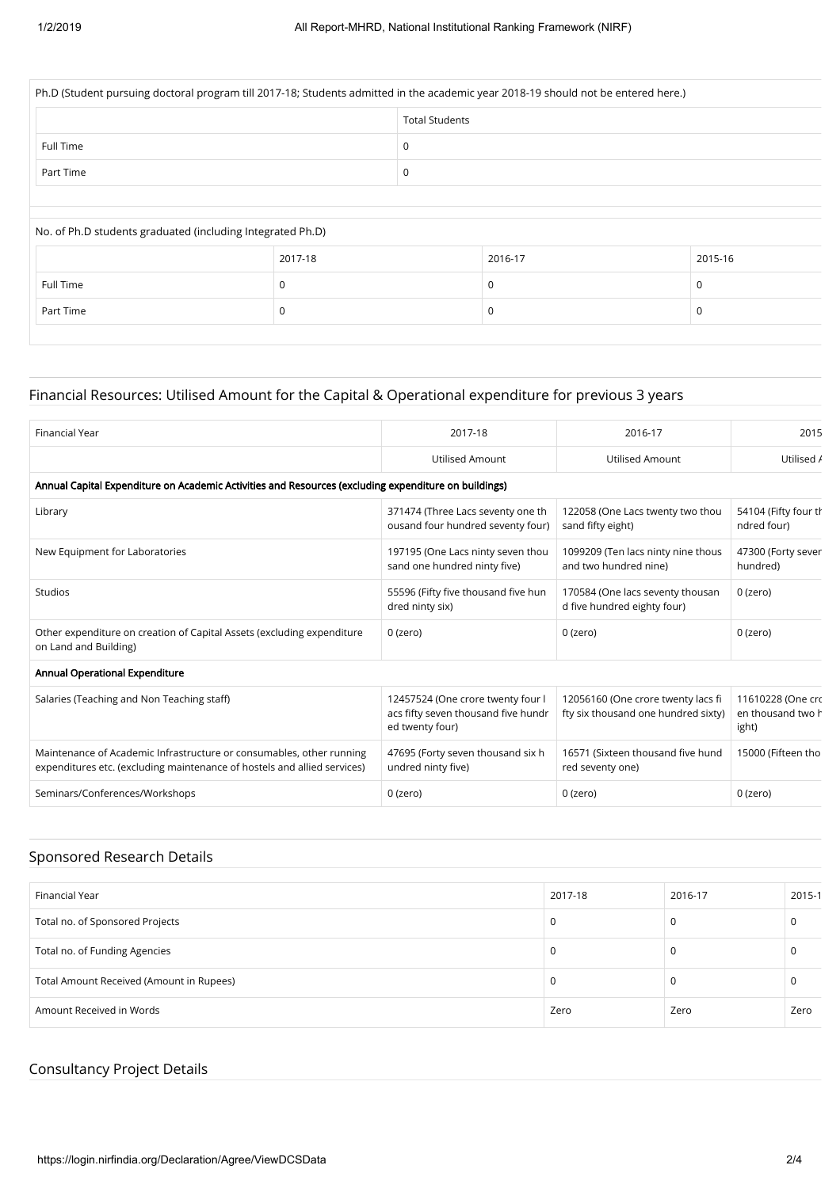|                                                            | Ph.D (Student pursuing doctoral program till 2017-18; Students admitted in the academic year 2018-19 should not be entered here.) |                       |             |         |  |  |
|------------------------------------------------------------|-----------------------------------------------------------------------------------------------------------------------------------|-----------------------|-------------|---------|--|--|
|                                                            |                                                                                                                                   | <b>Total Students</b> |             |         |  |  |
| Full Time                                                  |                                                                                                                                   | 0                     |             |         |  |  |
| Part Time                                                  |                                                                                                                                   | 0                     |             |         |  |  |
|                                                            |                                                                                                                                   |                       |             |         |  |  |
| No. of Ph.D students graduated (including Integrated Ph.D) |                                                                                                                                   |                       |             |         |  |  |
|                                                            | 2017-18                                                                                                                           |                       | 2016-17     | 2015-16 |  |  |
| Full Time                                                  | 0                                                                                                                                 |                       | $\mathbf 0$ | 0       |  |  |
|                                                            |                                                                                                                                   |                       |             |         |  |  |

### Financial Resources: Utilised Amount for the Capital & Operational expenditure for previous 3 years

| <b>Financial Year</b>                                                                                                                            | 2017-18                                                                                     | 2016-17                                                                   | 2015                                            |
|--------------------------------------------------------------------------------------------------------------------------------------------------|---------------------------------------------------------------------------------------------|---------------------------------------------------------------------------|-------------------------------------------------|
|                                                                                                                                                  | <b>Utilised Amount</b>                                                                      | <b>Utilised Amount</b>                                                    | Utilised /                                      |
| Annual Capital Expenditure on Academic Activities and Resources (excluding expenditure on buildings)                                             |                                                                                             |                                                                           |                                                 |
| Library                                                                                                                                          | 371474 (Three Lacs seventy one th<br>ousand four hundred seventy four)                      | 122058 (One Lacs twenty two thou<br>sand fifty eight)                     | 54104 (Fifty four th<br>ndred four)             |
| New Equipment for Laboratories                                                                                                                   | 197195 (One Lacs ninty seven thou<br>sand one hundred ninty five)                           | 1099209 (Ten lacs ninty nine thous<br>and two hundred nine)               | 47300 (Forty sever<br>hundred)                  |
| <b>Studios</b>                                                                                                                                   | 55596 (Fifty five thousand five hun<br>dred ninty six)                                      | 170584 (One lacs seventy thousan<br>d five hundred eighty four)           | $0$ (zero)                                      |
| Other expenditure on creation of Capital Assets (excluding expenditure<br>on Land and Building)                                                  | 0 (zero)                                                                                    | 0 (zero)                                                                  | $0$ (zero)                                      |
| Annual Operational Expenditure                                                                                                                   |                                                                                             |                                                                           |                                                 |
| Salaries (Teaching and Non Teaching staff)                                                                                                       | 12457524 (One crore twenty four I<br>acs fifty seven thousand five hundr<br>ed twenty four) | 12056160 (One crore twenty lacs fi<br>fty six thousand one hundred sixty) | 11610228 (One cro<br>en thousand two h<br>ight) |
| Maintenance of Academic Infrastructure or consumables, other running<br>expenditures etc. (excluding maintenance of hostels and allied services) | 47695 (Forty seven thousand six h<br>undred ninty five)                                     | 16571 (Sixteen thousand five hund<br>red seventy one)                     | 15000 (Fifteen tho                              |
| Seminars/Conferences/Workshops                                                                                                                   | $0$ (zero)                                                                                  | 0 (zero)                                                                  | $0$ (zero)                                      |

### Sponsored Research Details

| Financial Year                           | 2017-18 | 2016-17 | 2015-1 |
|------------------------------------------|---------|---------|--------|
| Total no. of Sponsored Projects          | υ       |         |        |
| Total no. of Funding Agencies            | v       |         |        |
| Total Amount Received (Amount in Rupees) | υ       |         |        |
| Amount Received in Words                 | Zero    | Zero    | Zero   |

### Consultancy Project Details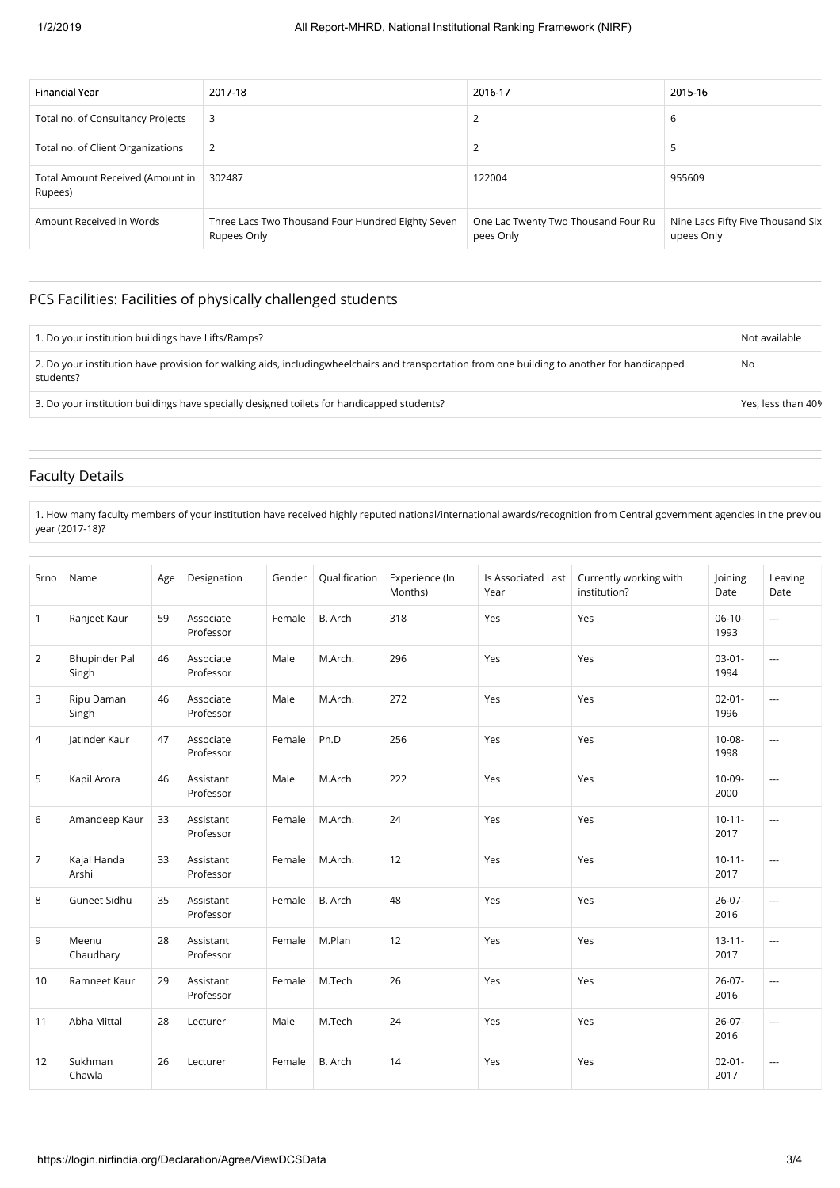| <b>Financial Year</b>                       | 2017-18                                                          | 2016-17                                          | 2015-16                                         |
|---------------------------------------------|------------------------------------------------------------------|--------------------------------------------------|-------------------------------------------------|
| Total no. of Consultancy Projects           | 3                                                                |                                                  | 6                                               |
| Total no. of Client Organizations           |                                                                  |                                                  | E                                               |
| Total Amount Received (Amount in<br>Rupees) | 302487                                                           | 122004                                           | 955609                                          |
| Amount Received in Words                    | Three Lacs Two Thousand Four Hundred Eighty Seven<br>Rupees Only | One Lac Twenty Two Thousand Four Ru<br>pees Only | Nine Lacs Fifty Five Thousand Six<br>upees Only |

### PCS Facilities: Facilities of physically challenged students

| 1. Do your institution buildings have Lifts/Ramps?                                                                                                        | Not available      |
|-----------------------------------------------------------------------------------------------------------------------------------------------------------|--------------------|
| 2. Do your institution have provision for walking aids, includingwheelchairs and transportation from one building to another for handicapped<br>students? | No                 |
| 3. Do your institution buildings have specially designed toilets for handicapped students?                                                                | Yes, less than 40% |

### Faculty Details

1. How many faculty members of your institution have received highly reputed national/international awards/recognition from Central government agencies in the previou year (2017-18)?

| Srno           | Name                          | Age | Designation            | Gender | Qualification | Experience (In<br>Months) | Is Associated Last<br>Year | Currently working with<br>institution? | Joining<br>Date     | Leaving<br>Date      |
|----------------|-------------------------------|-----|------------------------|--------|---------------|---------------------------|----------------------------|----------------------------------------|---------------------|----------------------|
| $\mathbf{1}$   | Ranjeet Kaur                  | 59  | Associate<br>Professor | Female | B. Arch       | 318                       | Yes                        | Yes                                    | $06-10-$<br>1993    | $\overline{a}$       |
| 2              | <b>Bhupinder Pal</b><br>Singh | 46  | Associate<br>Professor | Male   | M.Arch.       | 296                       | Yes                        | Yes                                    | $03-01-$<br>1994    | ---                  |
| 3              | Ripu Daman<br>Singh           | 46  | Associate<br>Professor | Male   | M.Arch.       | 272                       | Yes                        | Yes                                    | $02 - 01 -$<br>1996 | ---                  |
| 4              | latinder Kaur                 | 47  | Associate<br>Professor | Female | Ph.D          | 256                       | Yes                        | Yes                                    | $10 - 08 -$<br>1998 | $\overline{a}$       |
| 5              | Kapil Arora                   | 46  | Assistant<br>Professor | Male   | M.Arch.       | 222                       | Yes                        | Yes                                    | 10-09-<br>2000      | $\overline{a}$       |
| 6              | Amandeep Kaur                 | 33  | Assistant<br>Professor | Female | M.Arch.       | 24                        | Yes                        | Yes                                    | $10 - 11 -$<br>2017 | $\overline{a}$       |
| $\overline{7}$ | Kajal Handa<br>Arshi          | 33  | Assistant<br>Professor | Female | M.Arch.       | 12                        | Yes                        | Yes                                    | $10 - 11 -$<br>2017 | $\overline{a}$       |
| 8              | Guneet Sidhu                  | 35  | Assistant<br>Professor | Female | B. Arch       | 48                        | Yes                        | Yes                                    | $26-07-$<br>2016    | ---                  |
| 9              | Meenu<br>Chaudhary            | 28  | Assistant<br>Professor | Female | M.Plan        | 12                        | Yes                        | Yes                                    | $13 - 11 -$<br>2017 | ---                  |
| 10             | Ramneet Kaur                  | 29  | Assistant<br>Professor | Female | M.Tech        | 26                        | Yes                        | Yes                                    | $26-07-$<br>2016    | ---                  |
| 11             | Abha Mittal                   | 28  | Lecturer               | Male   | M.Tech        | 24                        | Yes                        | Yes                                    | $26-07-$<br>2016    | $\sim$ $\sim$ $\sim$ |
| 12             | Sukhman<br>Chawla             | 26  | Lecturer               | Female | B. Arch       | 14                        | Yes                        | Yes                                    | $02 - 01 -$<br>2017 | ---                  |